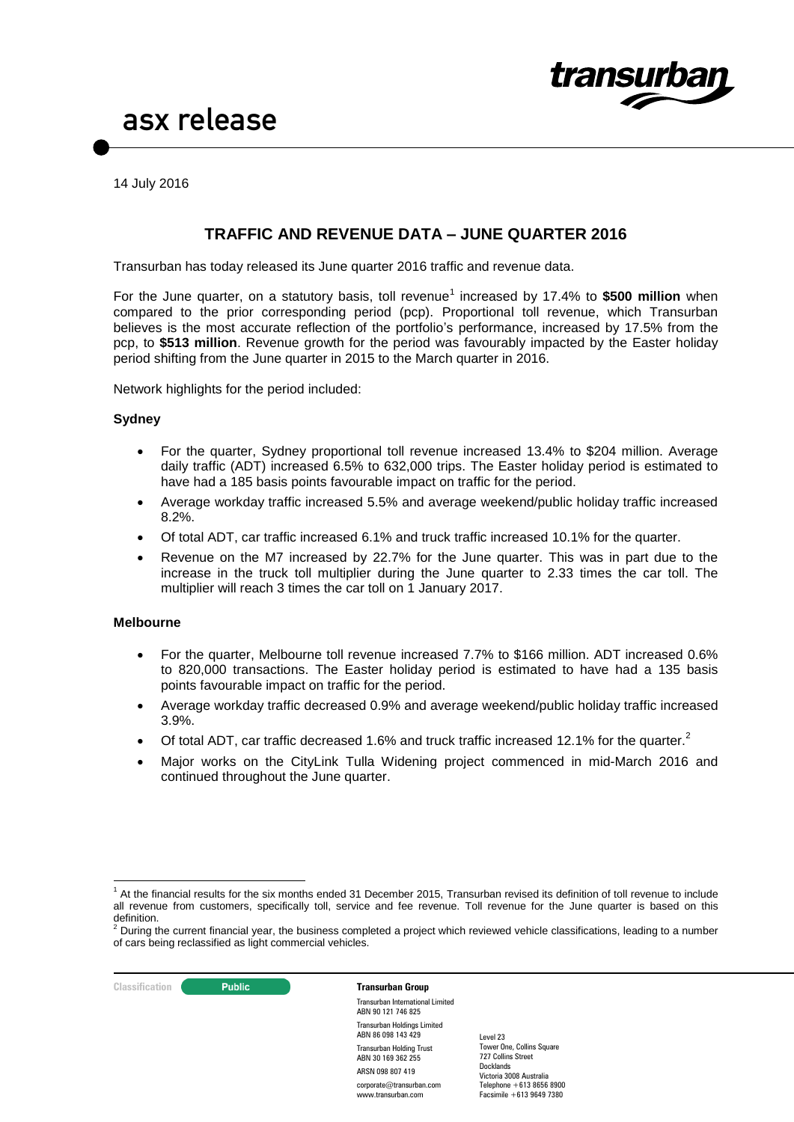

14 July 2016

#### **TRAFFIC AND REVENUE DATA – JUNE QUARTER 2016**

Transurban has today released its June quarter 2016 traffic and revenue data.

For the June quarter, on a statutory basis, toll revenue<sup>1</sup> increased by 17.4% to \$500 million when compared to the prior corresponding period (pcp). Proportional toll revenue, which Transurban believes is the most accurate reflection of the portfolio's performance, increased by 17.5% from the pcp, to **\$513 million**. Revenue growth for the period was favourably impacted by the Easter holiday period shifting from the June quarter in 2015 to the March quarter in 2016.

Network highlights for the period included:

#### **Sydney**

- For the quarter, Sydney proportional toll revenue increased 13.4% to \$204 million. Average daily traffic (ADT) increased 6.5% to 632,000 trips. The Easter holiday period is estimated to have had a 185 basis points favourable impact on traffic for the period.
- Average workday traffic increased 5.5% and average weekend/public holiday traffic increased 8.2%.
- Of total ADT, car traffic increased 6.1% and truck traffic increased 10.1% for the quarter.
- Revenue on the M7 increased by 22.7% for the June quarter. This was in part due to the increase in the truck toll multiplier during the June quarter to 2.33 times the car toll. The multiplier will reach 3 times the car toll on 1 January 2017.

#### **Melbourne**

- For the quarter, Melbourne toll revenue increased 7.7% to \$166 million. ADT increased 0.6% to 820,000 transactions. The Easter holiday period is estimated to have had a 135 basis points favourable impact on traffic for the period.
- Average workday traffic decreased 0.9% and average weekend/public holiday traffic increased 3.9%.
- $\bullet$  Of total ADT, car traffic decreased 1.6% and truck traffic increased 12.1% for the quarter.<sup>2</sup>
- Major works on the CityLink Tulla Widening project commenced in mid-March 2016 and continued throughout the June quarter.

**Classification C Public Transurban Group** 

Transurban International Limited ABN 90 121 746 825 Transurban Holdings Limited ABN 86 098 143 429 Transurban Holding Trust ABN 30 169 362 255 ARSN 098 807 419 corporate@transurban.com www.transurban.com

<sup>-</sup><sup>1</sup> At the financial results for the six months ended 31 December 2015, Transurban revised its definition of toll revenue to include all revenue from customers, specifically toll, service and fee revenue. Toll revenue for the June quarter is based on this

definition.<br><sup>2</sup> During the current financial year, the business completed a project which reviewed vehicle classifications, leading to a number of cars being reclassified as light commercial vehicles.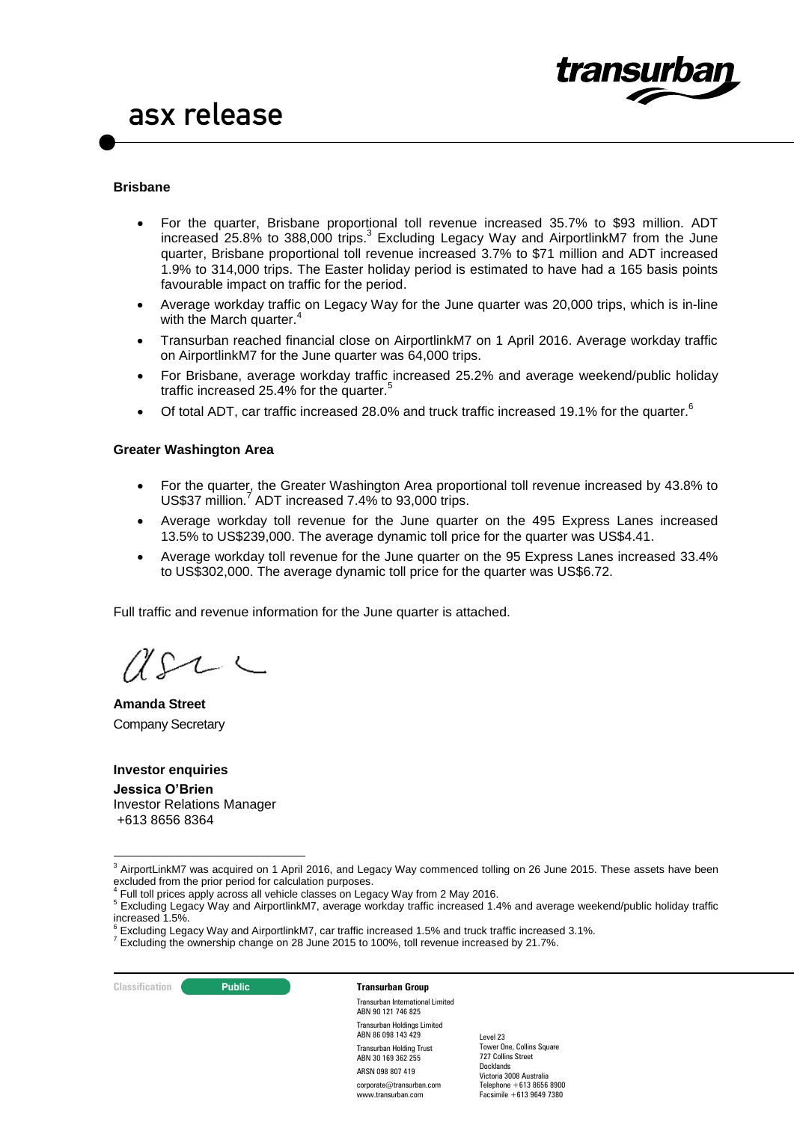

#### **Brisbane**

- For the quarter, Brisbane proportional toll revenue increased 35.7% to \$93 million. ADT increased 25.8% to 388,000 trips.<sup>3</sup> Excluding Legacy Way and AirportlinkM7 from the June quarter, Brisbane proportional toll revenue increased 3.7% to \$71 million and ADT increased 1.9% to 314,000 trips. The Easter holiday period is estimated to have had a 165 basis points favourable impact on traffic for the period.
- Average workday traffic on Legacy Way for the June quarter was 20,000 trips, which is in-line with the March quarter.<sup>4</sup>
- Transurban reached financial close on AirportlinkM7 on 1 April 2016. Average workday traffic on AirportlinkM7 for the June quarter was 64,000 trips.
- For Brisbane, average workday traffic increased 25.2% and average weekend/public holiday traffic increased 25.4% for the quarter. 5
- Of total ADT, car traffic increased 28.0% and truck traffic increased 19.1% for the quarter.<sup>6</sup>

#### **Greater Washington Area**

- For the quarter, the Greater Washington Area proportional toll revenue increased by 43.8% to US\$37 million. 7 ADT increased 7.4% to 93,000 trips.
- Average workday toll revenue for the June quarter on the 495 Express Lanes increased 13.5% to US\$239,000. The average dynamic toll price for the quarter was US\$4.41.
- Average workday toll revenue for the June quarter on the 95 Express Lanes increased 33.4% to US\$302,000. The average dynamic toll price for the quarter was US\$6.72.

Full traffic and revenue information for the June quarter is attached.

 $\Lambda$ S- $\tau$ 

**Amanda Street** Company Secretary

**Investor enquiries Jessica O'Brien**  Investor Relations Manager +613 8656 8364

**Classification C Public Transurban Group** 

-

Transurban International Limited ABN 90 121 746 825 Transurban Holdings Limited ABN 86 098 143 429 Transurban Holding Trust ABN 30 169 362 255 ARSN 098 807 419 corporate@transurban.com www.transurban.com

 $3$  AirportLinkM7 was acquired on 1 April 2016, and Legacy Way commenced tolling on 26 June 2015. These assets have been excluded from the prior period for calculation purposes.

 $<sup>4</sup>$  Full toll prices apply across all vehicle classes on Legacy Way from 2 May 2016.</sup>

<sup>5</sup> Excluding Legacy Way and AirportlinkM7, average workday traffic increased 1.4% and average weekend/public holiday traffic increased 1.5%.<br><sup>6</sup> Excluding Legacy Way and AirportlinkM7, car traffic increased 1.5% and truck traffic increased 3.1%.

 $7$  Excluding the ownership change on 28 June 2015 to 100%, toll revenue increased by 21.7%.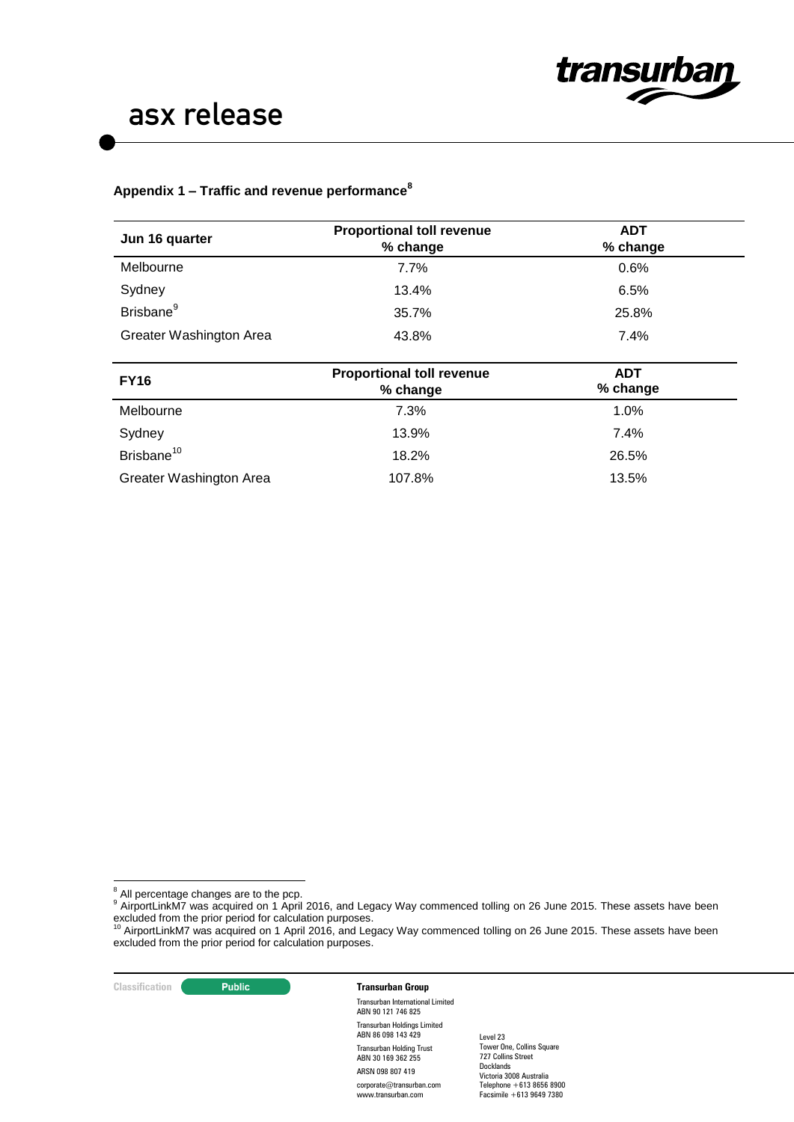

#### **Appendix 1 – Traffic and revenue performance<sup>8</sup>**

| Jun 16 quarter          | <b>Proportional toll revenue</b><br>% change | <b>ADT</b><br>% change |  |  |
|-------------------------|----------------------------------------------|------------------------|--|--|
| Melbourne               | 7.7%                                         | 0.6%                   |  |  |
| Sydney                  | 13.4%                                        | 6.5%                   |  |  |
| Brisbane <sup>9</sup>   | 35.7%                                        | 25.8%                  |  |  |
| Greater Washington Area | 43.8%                                        | 7.4%                   |  |  |
|                         |                                              |                        |  |  |
| <b>FY16</b>             | <b>Proportional toll revenue</b>             | <b>ADT</b>             |  |  |
|                         | % change                                     | % change               |  |  |
| Melbourne               | 7.3%                                         | 1.0%                   |  |  |
| Sydney                  | 13.9%                                        | 7.4%                   |  |  |
| Brisbane <sup>10</sup>  | 18.2%                                        | 26.5%                  |  |  |

 $8$  All percentage changes are to the pcp.

-

#### **Classification Transurban Group**

Transurban International Limited ABN 90 121 746 825 Transurban Holdings Limited ABN 86 098 143 429 Transurban Holding Trust ABN 30 169 362 255 ARSN 098 807 419 corporate@transurban.com www.transurban.com

All percentage changes are to the pcp.<br><sup>9</sup> AirportLinkM7 was acquired on 1 April 2016, and Legacy Way commenced tolling on 26 June 2015. These assets have been excluded from the prior period for calculation purposes.<br><sup>10</sup> AirportLinkM7 was acquired on 1 April 2016, and Legacy Way commenced tolling on 26 June 2015. These assets have been

excluded from the prior period for calculation purposes.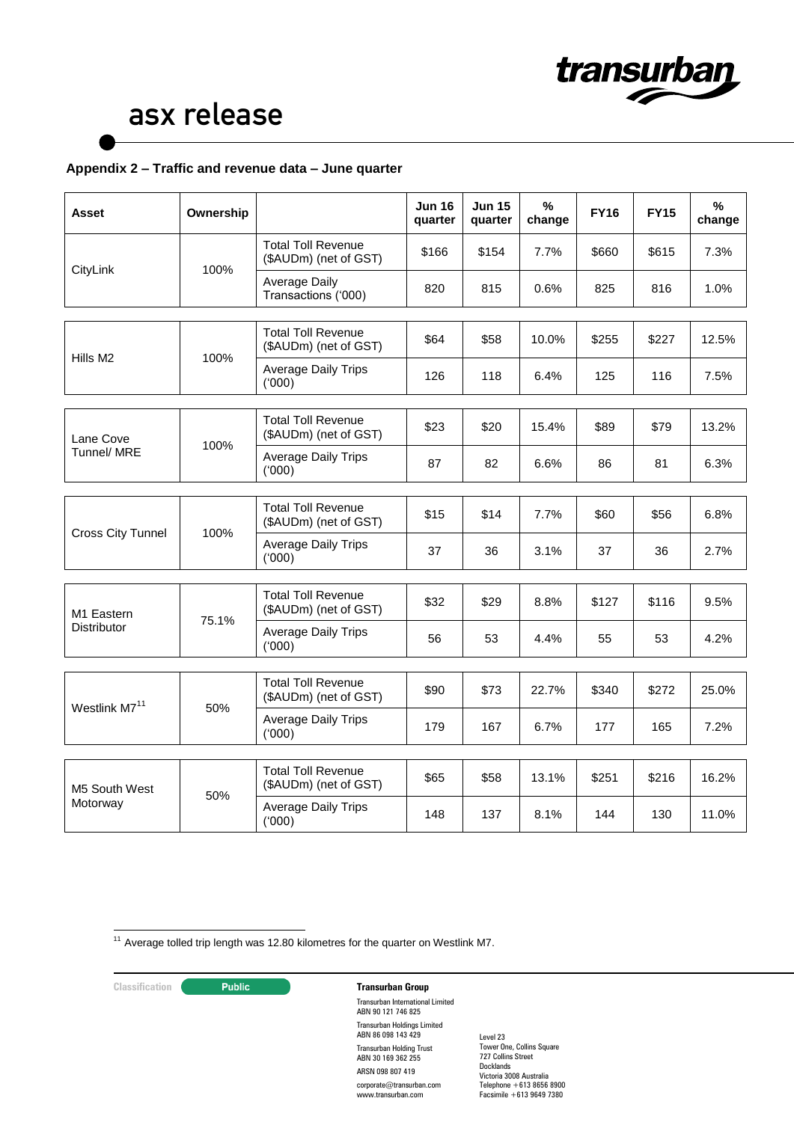

#### **Appendix 2 – Traffic and revenue data – June quarter**

| Asset                            | Ownership         |                                                    | <b>Jun 16</b><br>quarter | <b>Jun 15</b><br>quarter | %<br>change | <b>FY16</b> | <b>FY15</b> | %<br>change |
|----------------------------------|-------------------|----------------------------------------------------|--------------------------|--------------------------|-------------|-------------|-------------|-------------|
|                                  | 100%<br>CityLink  | <b>Total Toll Revenue</b><br>(\$AUDm) (net of GST) | \$166                    | \$154                    | 7.7%        | \$660       | \$615       | 7.3%        |
|                                  |                   | Average Daily<br>Transactions ('000)               | 820                      | 815                      | 0.6%        | 825         | 816         | 1.0%        |
| 100%<br>Hills M2                 |                   | <b>Total Toll Revenue</b><br>(\$AUDm) (net of GST) | \$64                     | \$58                     | 10.0%       | \$255       | \$227       | 12.5%       |
|                                  |                   | Average Daily Trips<br>(000)                       | 126                      | 118                      | 6.4%        | 125         | 116         | 7.5%        |
|                                  |                   | <b>Total Toll Revenue</b><br>(\$AUDm) (net of GST) | \$23                     | \$20                     | 15.4%       | \$89        | \$79        | 13.2%       |
| Tunnel/ MRE                      | Lane Cove<br>100% | <b>Average Daily Trips</b><br>('000)               | 87                       | 82                       | 6.6%        | 86          | 81          | 6.3%        |
| 100%<br><b>Cross City Tunnel</b> |                   | <b>Total Toll Revenue</b><br>(\$AUDm) (net of GST) | \$15                     | \$14                     | 7.7%        | \$60        | \$56        | 6.8%        |
|                                  |                   | <b>Average Daily Trips</b><br>(000)                | 37                       | 36                       | 3.1%        | 37          | 36          | 2.7%        |
| <b>Total Toll Revenue</b>        |                   |                                                    |                          |                          |             |             |             |             |
| M <sub>1</sub> Eastern           | 75.1%             | (\$AUDm) (net of GST)                              | \$32                     | \$29                     | 8.8%        | \$127       | \$116       | 9.5%        |
| <b>Distributor</b>               |                   | <b>Average Daily Trips</b><br>(000)                | 56                       | 53                       | 4.4%        | 55          | 53          | 4.2%        |
| Westlink M7 <sup>11</sup>        | 50%               | <b>Total Toll Revenue</b><br>(\$AUDm) (net of GST) | \$90                     | \$73                     | 22.7%       | \$340       | \$272       | 25.0%       |
|                                  |                   | <b>Average Daily Trips</b><br>(000)                | 179                      | 167                      | 6.7%        | 177         | 165         | 7.2%        |
|                                  |                   | <b>Total Toll Revenue</b>                          |                          |                          |             |             |             |             |
| M5 South West                    | 50%               | (\$AUDm) (net of GST)                              | \$65                     | \$58                     | 13.1%       | \$251       | \$216       | 16.2%       |
| Motorway                         |                   | <b>Average Daily Trips</b><br>(000)                | 148                      | 137                      | 8.1%        | 144         | 130         | 11.0%       |

<u>.</u>  $11$  Average tolled trip length was 12.80 kilometres for the quarter on Westlink M7.

#### **Classification Public Transurban Group**

Transurban International Limited ABN 90 121 746 825 Transurban Holdings Limited ABN 86 098 143 429 Transurban Holding Trust ABN 30 169 362 255 ARSN 098 807 419 corporate@transurban.com www.transurban.com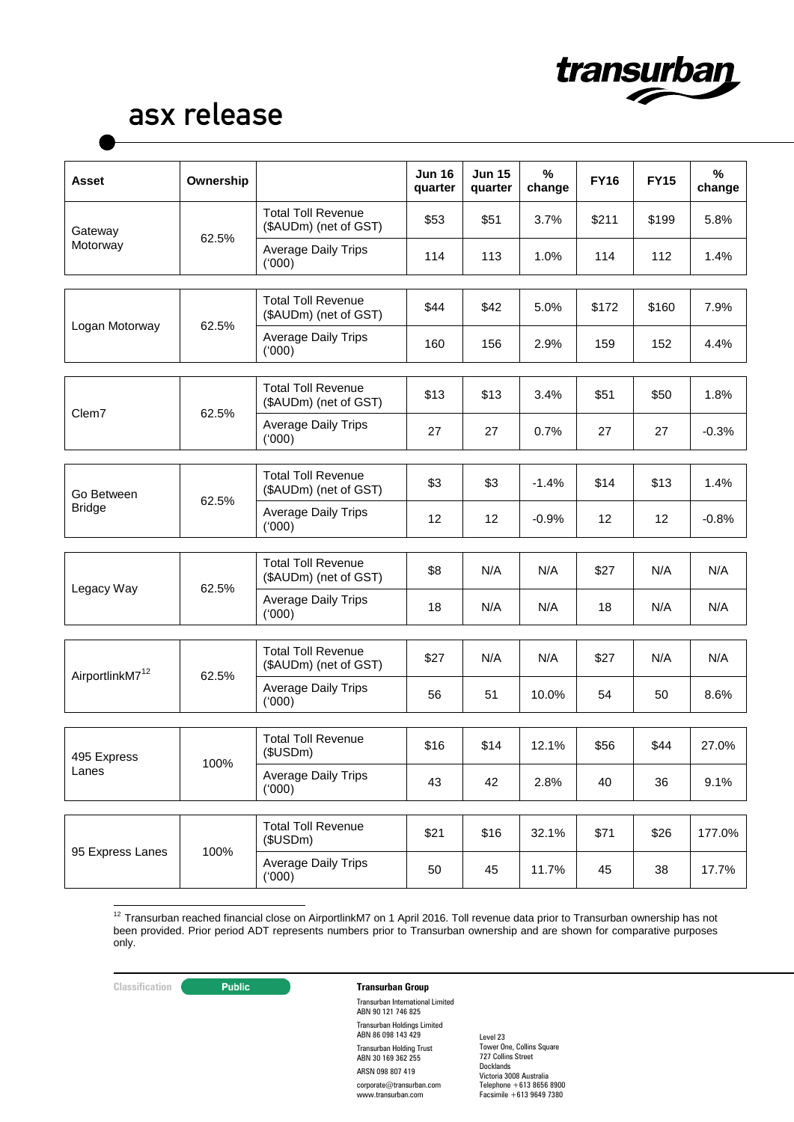

| <b>Asset</b>                | Ownership |                                                    | <b>Jun 16</b><br>quarter | <b>Jun 15</b><br>quarter | $\%$<br>change | <b>FY16</b> | <b>FY15</b> | %<br>change |
|-----------------------------|-----------|----------------------------------------------------|--------------------------|--------------------------|----------------|-------------|-------------|-------------|
| Gateway                     |           | <b>Total Toll Revenue</b><br>(\$AUDm) (net of GST) | \$53                     | \$51                     | 3.7%           | \$211       | \$199       | 5.8%        |
| Motorway                    | 62.5%     | <b>Average Daily Trips</b><br>(000)                | 114                      | 113                      | 1.0%           | 114         | 112         | 1.4%        |
| Logan Motorway              | 62.5%     | <b>Total Toll Revenue</b><br>(\$AUDm) (net of GST) | \$44                     | \$42                     | 5.0%           | \$172       | \$160       | 7.9%        |
|                             |           | <b>Average Daily Trips</b><br>(000)                | 160                      | 156                      | 2.9%           | 159         | 152         | 4.4%        |
| Clem7                       |           | <b>Total Toll Revenue</b><br>(\$AUDm) (net of GST) | \$13                     | \$13                     | 3.4%           | \$51        | \$50        | 1.8%        |
|                             | 62.5%     | <b>Average Daily Trips</b><br>(000)                | 27                       | 27                       | 0.7%           | 27          | 27          | $-0.3%$     |
| Go Between                  | 62.5%     | <b>Total Toll Revenue</b><br>(\$AUDm) (net of GST) | \$3                      | \$3                      | $-1.4%$        | \$14        | \$13        | 1.4%        |
| <b>Bridge</b>               |           | <b>Average Daily Trips</b><br>(000)                | 12                       | 12                       | $-0.9%$        | 12          | 12          | $-0.8%$     |
|                             |           | <b>Total Toll Revenue</b><br>(\$AUDm) (net of GST) | \$8                      | N/A                      | N/A            | \$27        | N/A         | N/A         |
| Legacy Way                  | 62.5%     | <b>Average Daily Trips</b><br>(000)                | 18                       | N/A                      | N/A            | 18          | N/A         | N/A         |
| AirportlinkM7 <sup>12</sup> | 62.5%     | <b>Total Toll Revenue</b><br>(\$AUDm) (net of GST) | \$27                     | N/A                      | N/A            | \$27        | N/A         | N/A         |
|                             |           | <b>Average Daily Trips</b><br>(000)                | 56                       | 51                       | 10.0%          | 54          | 50          | 8.6%        |
|                             | 100%      | <b>Total Toll Revenue</b><br>(\$USDm)              | \$16                     | \$14                     | 12.1%          | \$56        | \$44        | 27.0%       |
| 495 Express<br>Lanes        |           | <b>Average Daily Trips</b><br>(000)                | 43                       | 42                       | 2.8%           | 40          | 36          | 9.1%        |
|                             | 100%      | <b>Total Toll Revenue</b><br>(\$USDm)              | \$21                     | \$16                     | 32.1%          | \$71        | \$26        | 177.0%      |
| 95 Express Lanes            |           | <b>Average Daily Trips</b><br>(000)                | 50                       | 45                       | 11.7%          | 45          | 38          | 17.7%       |

- $12$  Transurban reached financial close on AirportlinkM7 on 1 April 2016. Toll revenue data prior to Transurban ownership has not been provided. Prior period ADT represents numbers prior to Transurban ownership and are shown for comparative purposes only.

### **Classification Transurban Group**

Transurban International Limited ABN 90 121 746 825 Transurban Holdings Limited ABN 86 098 143 429 Transurban Holding Trust ABN 30 169 362 255 ARSN 098 807 419 corporate@transurban.com www.transurban.com